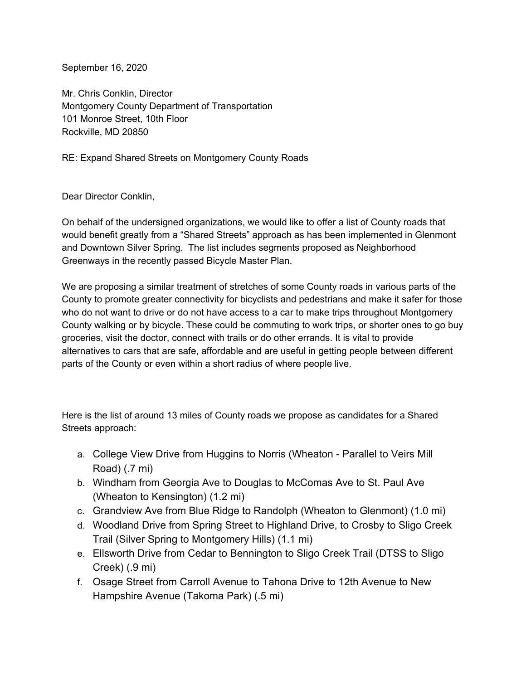September 16, 2020

Mr. Chris Conklin, Director Montgomery County Department of Transportation 101 Monroe Street, 10th Floor Rockville, MD 20850

RE: Expand Shared Streets on Montgomery County Roads

Dear Director Conklin,

On behalf of the undersigned organizations, we would like to offer a list of County roads that would benefit greatly from a "Shared Streets" approach as has been implemented in Glenmont and Downtown Silver Spring. The list includes segments proposed as Neighborhood Greenways in the recently passed Bicycle Master Plan.

We are proposing a similar treatment of stretches of some County roads in various parts of the County to promote greater connectivity for bicyclists and pedestrians and make it safer for those who do not want to drive or do not have access to a car to make trips throughout Montgomery County walking or by bicycle. These could be commuting to work trips, or shorter ones to go buy groceries, visit the doctor, connect with trails or do other errands. It is vital to provide alternatives to cars that are safe, affordable and are useful in getting people between different parts of the County or even within a short radius of where people live.

Here is the list of around 13 miles of County roads we propose as candidates for a Shared Streets approach:

- a. College View Drive from Huggins to Norris (Wheaton Parallel to Veirs Mill Road) (.7 mi)
- b. Windham from Georgia Ave to Douglas to McComas Ave to St. Paul Ave (Wheaton to Kensington) (1.2 mi)
- c. Grandview Ave from Blue Ridge to Randolph (Wheaton to Glenmont) (1.0 mi)
- d. Woodland Drive from Spring Street to Highland Drive, to Crosby to Sligo Creek Trail (Silver Spring to Montgomery Hills) (1.1 mi)
- e. Ellsworth Drive from Cedar to Bennington to Sligo Creek Trail (DTSS to Sligo Creek) (.9 mi)
- f. Osage Street from Carroll Avenue to Tahona Drive to 12th Avenue to New Hampshire Avenue (Takoma Park) (.5 mi)